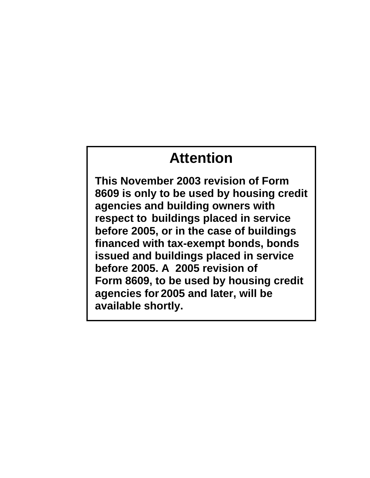# **Attention**

 **This November 2003 revision of Form 8609 is only to be used by housing credit agencies and building owners with respect to buildings placed in service before 2005, or in the case of buildings financed with tax-exempt bonds, bonds issued and buildings placed in service before 2005. A 2005 revision of Form 8609, to be used by housing credit agencies for 2005 and later, will be available shortly.**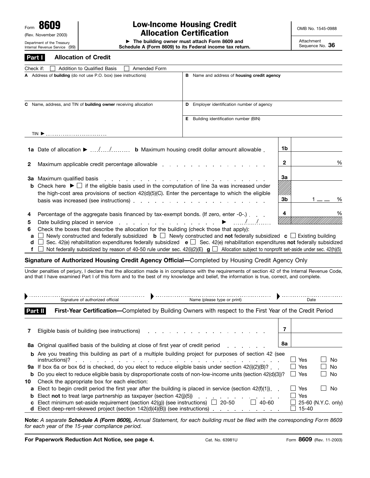Form **8609** (Rev. November 2003)

### Internal Revenue Service (99)

## Low-Income Housing Credit  $\vert$  OMB No. 1545-0988 **Allocation Certification**<br>The building owner must attach Form 8609 and

Department of the Treasury **income The Schedule A (Form 8609) to its Federal income tax return.** Department and the Treasury and the Sequence No. 36<br>Internal Revenue Service (99) **Department on Schedule A (Form 8609) to i** 

Attachment<br>Sequence No. 36

|                       | <b>Allocation of Credit</b><br>Part I                                                                                                                                                                                                                                                                                                                                                                                                                                                                                                                                                                                                                                                          |                                                    |              |                              |                           |  |  |  |  |
|-----------------------|------------------------------------------------------------------------------------------------------------------------------------------------------------------------------------------------------------------------------------------------------------------------------------------------------------------------------------------------------------------------------------------------------------------------------------------------------------------------------------------------------------------------------------------------------------------------------------------------------------------------------------------------------------------------------------------------|----------------------------------------------------|--------------|------------------------------|---------------------------|--|--|--|--|
|                       | Check if:<br>Amended Form<br><b>Addition to Qualified Basis</b>                                                                                                                                                                                                                                                                                                                                                                                                                                                                                                                                                                                                                                |                                                    |              |                              |                           |  |  |  |  |
|                       | A Address of building (do not use P.O. box) (see instructions)                                                                                                                                                                                                                                                                                                                                                                                                                                                                                                                                                                                                                                 | <b>B</b> Name and address of housing credit agency |              |                              |                           |  |  |  |  |
|                       | C Name, address, and TIN of building owner receiving allocation                                                                                                                                                                                                                                                                                                                                                                                                                                                                                                                                                                                                                                | <b>D</b> Employer identification number of agency  |              |                              |                           |  |  |  |  |
|                       |                                                                                                                                                                                                                                                                                                                                                                                                                                                                                                                                                                                                                                                                                                | <b>E</b> Building identification number (BIN)      |              |                              |                           |  |  |  |  |
|                       |                                                                                                                                                                                                                                                                                                                                                                                                                                                                                                                                                                                                                                                                                                |                                                    |              |                              |                           |  |  |  |  |
|                       | $TIN \triangleright$                                                                                                                                                                                                                                                                                                                                                                                                                                                                                                                                                                                                                                                                           |                                                    |              |                              |                           |  |  |  |  |
|                       |                                                                                                                                                                                                                                                                                                                                                                                                                                                                                                                                                                                                                                                                                                |                                                    | 1b           |                              |                           |  |  |  |  |
| 2                     | Maximum applicable credit percentage allowable entitled as a set of the state of the matrix of the Maximum and M                                                                                                                                                                                                                                                                                                                                                                                                                                                                                                                                                                               |                                                    | $\mathbf{2}$ |                              | %                         |  |  |  |  |
| b                     | <b>3a</b> Maximum qualified basis<br>and the contract of the contract of the contract of the contract of the<br>Check here $\blacktriangleright \Box$ if the eligible basis used in the computation of line 3a was increased under<br>the high-cost area provisions of section $42(d)(5)(C)$ . Enter the percentage to which the eligible                                                                                                                                                                                                                                                                                                                                                      |                                                    | За<br>3b     |                              | %                         |  |  |  |  |
| 4<br>5<br>6<br>a<br>d | Percentage of the aggregate basis financed by tax-exempt bonds. (If zero, enter -0-.)<br>Date building placed in service<br>Check the boxes that describe the allocation for the building (check those that apply):<br>Newly constructed and federally subsidized $\mathbf{b}$ $\Box$ Newly constructed and <b>not</b> federally subsidized $\mathbf{c}$ $\Box$ Existing building<br>$\Box$ Sec. 42(e) rehabilitation expenditures federally subsidized $\cdot$ e $\Box$ Sec. 42(e) rehabilitation expenditures not federally subsidized<br>Not federally subsidized by reason of 40-50 rule under sec. $42(i)(2)(E)$ g $\Box$ Allocation subject to nonprofit set-aside under sec. $42(i)(5)$ | $\sqrt{2}$                                         | 4            |                              | ℅                         |  |  |  |  |
|                       | Signature of Authorized Housing Credit Agency Official—Completed by Housing Credit Agency Only<br>Under penalties of perjury, I declare that the allocation made is in compliance with the requirements of section 42 of the Internal Revenue Code,<br>and that I have examined Part I of this form and to the best of my knowledge and belief, the information is true, correct, and complete.                                                                                                                                                                                                                                                                                                |                                                    |              |                              |                           |  |  |  |  |
|                       | Signature of authorized official                                                                                                                                                                                                                                                                                                                                                                                                                                                                                                                                                                                                                                                               |                                                    |              | Date                         |                           |  |  |  |  |
|                       |                                                                                                                                                                                                                                                                                                                                                                                                                                                                                                                                                                                                                                                                                                |                                                    |              |                              |                           |  |  |  |  |
|                       | First-Year Certification-Completed by Building Owners with respect to the First Year of the Credit Period<br>Part II                                                                                                                                                                                                                                                                                                                                                                                                                                                                                                                                                                           |                                                    |              |                              |                           |  |  |  |  |
| 7                     | Eligible basis of building (see instructions)                                                                                                                                                                                                                                                                                                                                                                                                                                                                                                                                                                                                                                                  |                                                    | 7            |                              |                           |  |  |  |  |
|                       | 8a Original qualified basis of the building at close of first year of credit period                                                                                                                                                                                                                                                                                                                                                                                                                                                                                                                                                                                                            |                                                    | 8а           |                              |                           |  |  |  |  |
|                       | <b>b</b> Are you treating this building as part of a multiple building project for purposes of section 42 (see<br>instructions)?<br>the contract of the contract of the contract of the contract of the contract of the contract of the contract of                                                                                                                                                                                                                                                                                                                                                                                                                                            |                                                    |              | ⊥ Yes                        | No                        |  |  |  |  |
| b                     | 9a If box 6a or box 6d is checked, do you elect to reduce eligible basis under section 42(i)(2)(B)?.<br>Do you elect to reduce eligible basis by disproportionate costs of non-low-income units (section 42(d)(3))?                                                                                                                                                                                                                                                                                                                                                                                                                                                                            |                                                    |              | Yes<br>$\blacksquare$<br>Yes | No<br>No                  |  |  |  |  |
| 10<br>a<br>b<br>c     | Check the appropriate box for each election:<br>Elect to begin credit period the first year after the building is placed in service (section $42(f)(1)$ ).<br>Elect not to treat large partnership as taxpayer (section $42(j)(5)$ )<br>Elect minimum set-aside requirement (section 42(g)) (see instructions)                                                                                                                                                                                                                                                                                                                                                                                 | $40 - 60$<br>$20 - 50$                             |              | Yes<br>Yes<br>$15 - 40$      | No<br>25-60 (N.Y.C. only) |  |  |  |  |
|                       | Note: A separate Schedule A (Form 8609), Annual Statement, for each building must be filed with the corresponding Form 8609<br>for each year of the 15-year compliance period.                                                                                                                                                                                                                                                                                                                                                                                                                                                                                                                 |                                                    |              |                              |                           |  |  |  |  |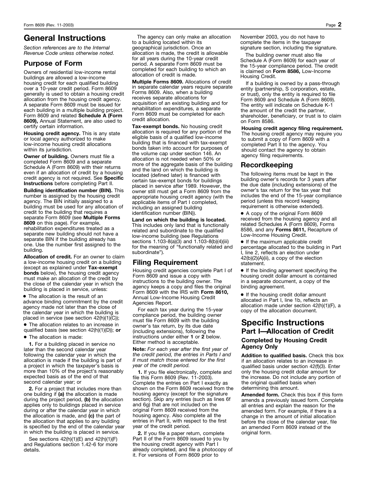#### **General Instructions**

*Section references are to the Internal Revenue Code unless otherwise noted.*

#### **Purpose of Form**

Owners of residential low-income rental buildings are allowed a low-income housing credit for each qualified building over a 10-year credit period. Form 8609 generally is used to obtain a housing credit allocation from the housing credit agency. A separate Form 8609 must be issued for each building in a multiple building project. Form 8609 and related **Schedule A (Form 8609),** Annual Statement, are also used to certify certain information.

**Housing credit agency.** This is any state or local agency authorized to make low-income housing credit allocations within its jurisdiction.

**Owner of building.** Owners must file a completed Form 8609 and a separate Schedule A (Form 8609) with their returns even if an allocation of credit by a housing credit agency is not required. See **Specific Instructions** before completing Part II.

**Building identification number (BIN).** This number is assigned by the housing credit agency. The BIN initially assigned to a building must be used for any allocation of credit to the building that requires a separate Form 8609 (see **Multiple Forms 8609** on this page). For example, rehabilitation expenditures treated as a separate new building should not have a separate BIN if the building already has one. Use the number first assigned to the building.

**Allocation of credit.** For an owner to claim a low-income housing credit on a building (except as explained under **Tax-exempt bonds** below), the housing credit agency must make an allocation of the credit by the close of the calendar year in which the building is placed in service, unless:

● The allocation is the result of an advance binding commitment by the credit agency made not later than the close of the calendar year in which the building is placed in service (see section 42(h)(1)(C));

● The allocation relates to an increase in qualified basis (see section 42(h)(1)(D)); **or**

● The allocation is made:

**1.** For a building placed in service no later than the second calendar year following the calendar year in which the allocation is made if the building is part of a project in which the taxpayer's basis is more than 10% of the project's reasonably expected basis as of the end of that second calendar year; or

**2.** For a project that includes more than one building if **(a)** the allocation is made during the project period, **(b)** the allocation applies only to buildings placed in service during or after the calendar year in which the allocation is made, and **(c)** the part of the allocation that applies to any building is specified by the end of the calendar year in which the building is placed in service.

See sections 42(h)(1)(E) and 42(h)(1)(F) and Regulations section 1.42-6 for more details.

The agency can only make an allocation to a building located within its geographical jurisdiction. Once an allocation is made, the credit is allowable for all years during the 10-year credit period. A separate Form 8609 must be completed for each building to which an allocation of credit is made.

**Multiple Forms 8609.** Allocations of credit in separate calendar years require separate Forms 8609. Also, when a building receives separate allocations for acquisition of an existing building and for rehabilitation expenditures, a separate Form 8609 must be completed for each credit allocation.

**Tax-exempt bonds.** No housing credit allocation is required for any portion of the eligible basis of a qualified low-income building that is financed with tax-exempt bonds taken into account for purposes of the volume cap under section 146. An allocation is not needed when 50% or more of the aggregate basis of the building and the land on which the building is located (defined later) is financed with certain tax-exempt bonds for buildings placed in service after 1989. However, the owner still must get a Form 8609 from the appropriate housing credit agency (with the applicable items of Part I completed, including an assigned building identification number (BIN)).

**Land on which the building is located.** This includes only land that is functionally related and subordinate to the qualified low-income building (see Regulations sections 1.103-8(a)(3) and 1.103-8(b)(4)(iii) for the meaning of "functionally related and subordinate").

#### **Filing Requirement**

Housing credit agencies complete Part I of Form 8609 and issue a copy with instructions to the building owner. The agency keeps a copy and files the original Form 8609 with the IRS with **Form 8610,** Annual Low-Income Housing Credit Agencies Report.

For each tax year during the 15-year compliance period, the building owner must file Form 8609 with the building owner's tax return, by its due date (including extensions), following the instructions under either **1** or **2** below. Either method is acceptable.

**Note:** *For each year after the first year of the credit period, the entries in Parts I and II must match those entered for the first year of the credit period.*

**1.** If you file electronically, complete and file this Form 8609 (Rev. 11-2003). Complete the entries on Part I exactly as shown on the Form 8609 received from the housing agency (except for the signature section). Skip any entries (such as lines 6f and 6g) that are not included on the original Form 8609 received from the housing agency. Also complete all the entries in Part II, with respect to the first year of the credit period.

**2.** If you file a paper return, complete Part II of the Form 8609 issued to you by the housing credit agency with Part I already completed, and file a photocopy of it. For versions of Form 8609 prior to

November 2003, you do not have to complete the items in the taxpayer signature section, including the signature.

The building owner must also file Schedule A (Form 8609) for each year of the 15-year compliance period. The credit is claimed on **Form 8586,** Low-Income Housing Credit.

If a building is owned by a pass-through entity (partnership, S corporation, estate, or trust), only the entity is required to file Form 8609 and Schedule A (Form 8609). The entity will indicate on Schedule K-1 the amount of the credit the partner, shareholder, beneficiary, or trust is to claim on Form 8586.

**Housing credit agency filing requirement.** The housing credit agency may require you to submit a copy of Form 8609 with a completed Part II to the agency. You should contact the agency to obtain agency filing requirements.

#### **Recordkeeping**

The following items must be kept in the building owner's records for 3 years after the due date (including extensions) of the owner's tax return for the tax year that includes the end of the 15-year compliance period (unless this record keeping requirement is otherwise extended).

● A copy of the original Form 8609 received from the housing agency and all related Schedules A (Form 8609), Forms 8586, and any **Forms 8611,** Recapture of Low-Income Housing Credit.

● If the maximum applicable credit percentage allocated to the building in Part I, line 2, reflects an election under 42(b)(2)(A)(ii), a copy of the election statement.

● If the binding agreement specifying the housing credit dollar amount is contained in a separate document, a copy of the binding agreement.

● If the housing credit dollar amount allocated in Part I, line 1b, reflects an allocation made under section 42(h)(1)(F), a copy of the allocation document.

#### **Specific Instructions Part I—Allocation of Credit Completed by Housing Credit Agency Only**

**Addition to qualified basis.** Check this box if an allocation relates to an increase in qualified basis under section 42(f)(3). Enter only the housing credit dollar amount for the increase. Do not include any portion of the original qualified basis when determining this amount.

**Amended form.** Check this box if this form amends a previously issued form. Complete all entries and explain the reason for the amended form. For example, if there is a change in the amount of initial allocation before the close of the calendar year, file an amended Form 8609 instead of the original form.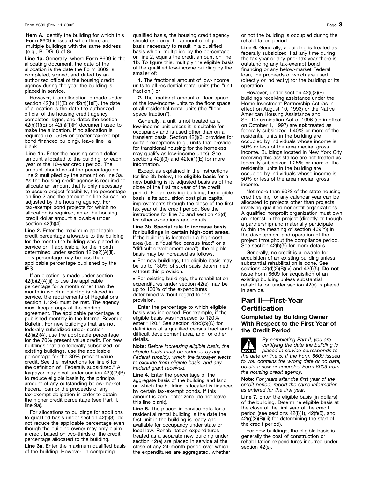**Item A.** Identify the building for which this Form 8609 is issued when there are multiple buildings with the same address (e.g., BLDG. 6 of 8).

**Line 1a.** Generally, where Form 8609 is the allocating document, the date of the allocation is the date the Form 8609 is completed, signed, and dated by an authorized offical of the housing credit agency during the year the building is placed in service.

However, if an allocation is made under section 42(h) (1)(E) or 42(h)(1)(F), the date of allocation is the date the authorized official of the housing credit agency completes, signs, and dates the section  $42(h)(1)(E)$  or  $42(h)(1)(F)$  document used to make the allocation. If no allocation is required (i.e., 50% or greater tax-exempt bond financed building), leave line 1a blank.

**Line 1b.** Enter the housing credit dollar amount allocated to the building for each year of the 10-year credit period. The amount should equal the percentage on line 2 multiplied by the amount on line 3a. As the housing credit agency is required to allocate an amount that is only necessary to assure project feasibility, the percentage on line 2 and the amount on line 3a can be adjusted by the housing agency. For tax-exempt bond projects for which no allocation is required, enter the housing credit dollar amount allowable under section 42(h)(4).

**Line 2.** Enter the maximum applicable credit percentage allowable to the building for the month the building was placed in service or, if applicable, for the month determined under section 42(b)(2)(A)(ii). This percentage may be less than the applicable percentage published by the IRS.

If an election is made under section 42(b)(2)(A)(ii) to use the applicable percentage for a month other than the month in which a building is placed in service, the requirements of Regulations section 1.42-8 must be met. The agency must keep a copy of the binding agreement. The applicable percentage is published monthly in the Internal Revenue Bulletin. For new buildings that are not federally subsidized under section 42(i)(2)(A), use the applicable percentage for the 70% present value credit. For new buildings that are federally subsidized, or existing buildings, use the applicable percentage for the 30% present value credit. See the instructions for line 6 for the definition of "Federally subsidized." A taxpayer may elect under section 42(i)(2)(B) to reduce eligible basis by the principal amount of any outstanding below-market Federal loan or the proceeds of any tax-exempt obligation in order to obtain the higher credit percentage (see Part II, line 9a).

For allocations to buildings for additions to qualified basis under section 42(f)(3), do not reduce the applicable percentage even though the building owner may only claim a credit based on two-thirds of the credit percentage allocated to the building.

**Line 3a.** Enter the maximum qualified basis of the building. However, in computing

qualified basis, the housing credit agency should use only the amount of eligible basis necessary to result in a qualified basis which, multiplied by the percentage on line 2, equals the credit amount on line 1b. To figure this, multiply the eligible basis of the qualified low-income building by the smaller of:

**1.** The fractional amount of low-income units to all residential rental units (the "unit fraction") or

**2.** The fractional amount of floor space of the low-income units to the floor space of all residential rental units (the "floor space fraction").

Generally, a unit is not treated as a low-income unit unless it is suitable for occupancy and is used other than on a transient basis. Section 42(i)(3) provides for certain exceptions (e.g., units that provide for transitional housing for the homeless may qualify as low-income units). See sections 42(i)(3) and 42(c)(1)(E) for more information.

Except as explained in the instructions for line 3b below, the **eligible basis** for a new building is its adjusted basis as of the close of the first tax year of the credit period. For an existing building, the eligible basis is its acquisition cost plus capital improvements through the close of the first tax year of the credit period. See the instructions for line 7b and section 42(d) for other exceptions and details.

**Line 3b. Special rule to increase basis for buildings in certain high-cost areas.** If the building is located in a high-cost area (i.e., a "qualified census tract" or a "difficult development area"), the eligible basis may be increased as follows.

• For new buildings, the eligible basis may be up to 130% of such basis determined without this provision.

● For existing buildings, the rehabilitation expenditures under section 42(e) may be up to 130% of the expenditures determined without regard to this provision.

Enter the percentage to which eligible basis was increased. For example, if the eligible basis was increased to 120%, enter "120." See section 42(d)(5)(C) for definitions of a qualified census tract and a difficult development area, and for other details.

**Note:** *Before increasing eligible basis, the eligible basis must be reduced by any Federal subsidy, which the taxpayer elects to exclude from eligible basis, and any Federal grant received.*

**Line 4.** Enter the percentage of the aggregate basis of the building and land on which the building is located is financed by certain tax-exempt bonds. If this amount is zero, enter zero (do not leave this line blank).

**Line 5.** The placed-in-service date for a residential rental building is the date the first unit in the building is ready and available for occupancy under state or local law. Rehabilitation expenditures treated as a separate new building under section 42(e) are placed in service at the close of any 24-month period over which the expenditures are aggregated, whether or not the building is occupied during the rehabilitation period.

**Line 6.** Generally, a building is treated as federally subsidized if at any time during the tax year or any prior tax year there is outstanding any tax-exempt bond financing or any below-market Federal loan, the proceeds of which are used (directly or indirectly) for the building or its operation.

However, under section 42(i)(2)(E) buildings receiving assistance under the Home Investment Partnership Act (as in effect on August 10, 1993) or the Native American Housing Assistance and Self-Determination Act of 1996 (as in effect on October 1, 1997) are **not** treated as federally subsidized if 40% or more of the residential units in the building are occupied by individuals whose income is 50% or less of the area median gross income. Buildings located in New York City receiving this assistance are not treated as federally subsidized if 25% or more of the residential units in the building are occupied by individuals whose income is 50% or less of the area median gross income.

Not more than 90% of the state housing credit ceiling for any calendar year can be allocated to projects other than projects involving qualified nonprofit organizations. A qualified nonprofit organization must own an interest in the project (directly or though a partnership) and materially participate (within the meaning of section 469(h)) in the development and operation of the project throughout the compliance period. See section 42(h)(5) for more details.

Generally, no credit is allowable for acquisition of an existing building unless substantial rehabilitation is done. See sections 42(d)(2)(B)(iv) and 42(f)(5). **Do not** issue Form 8609 for acquisition of an existing building unless substantial rehabilitation under section 42(e) is placed in service.

#### **Part II—First-Year Certification Completed by Building Owner With Respect to the First Year of the Credit Period**

*By completing Part II, you are certifying the date the building is* CAUTION *placed in service corresponds to the date on line 5. If the Form 8609 issued to you contains the wrong date or no date, obtain a new or amended Form 8609 from the housing credit agency.*

**Note:** *For years after the first year of the credit period, report the same information as entered for the first year.*

**Line 7.** Enter the eligible basis (in dollars) of the building. Determine eligible basis at the close of the first year of the credit period (see sections 42(f)(1), 42(f)(5), and 42(g)(3)(B)(iii) for determining the start of the credit period).

For new buildings, the eligible basis is generally the cost of construction or rehabilitation expenditures incurred under section 42(e).